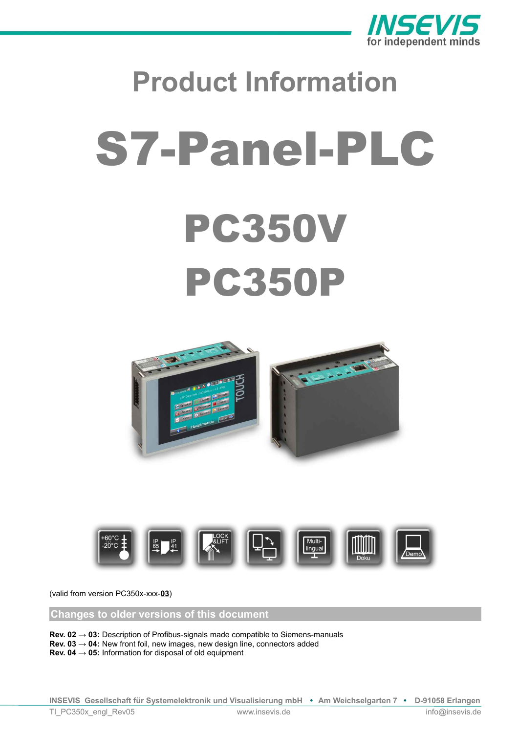

# **Product Information** S7-Panel-PLC PC350V PC350P





(valid from version PC350x-xxx-**03**)

**Changes to older versions of this document**

**Rev. 02 → 03:** Description of Profibus-signals made compatible to Siemens-manuals

**Rev. 03 → 04:** New front foil, new images, new design line, connectors added

**Rev. 04 → 05:** Information for disposal of old equipment

**INSEVIS Gesellschaft für Systemelektronik und Visualisierung mbH • Am Weichselgarten 7 • D-91058 Erlangen**

TI\_PC350x\_engl\_Rev05 www.insevis.de info@insevis.de info@insevis.de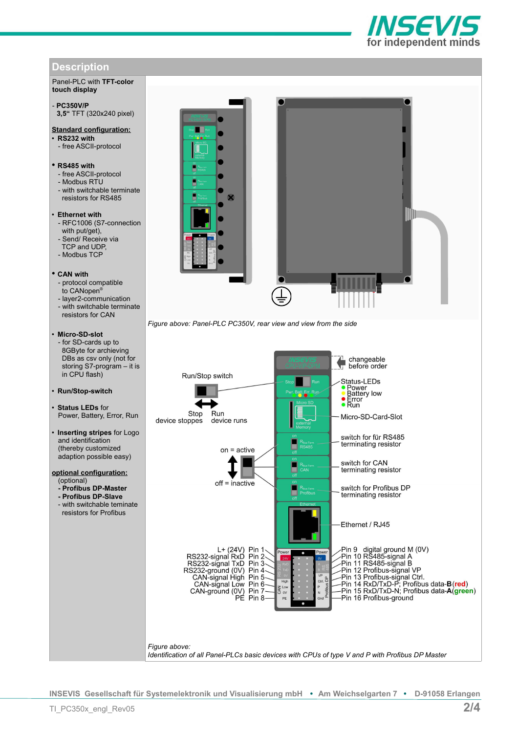# **Description**

Panel-PLC with **TFT-color touch display**

#### - **PC350V/P 3,5"** TFT (320x240 pixel)

## **Standard configuration:**

- **RS232 with** - free ASCII-protocol
- 

## • **RS485 with**

- free ASCII-protocol
- Modbus RTU
- with switchable terminate resistors for RS485

## • **Ethernet with**

- RFC1006 (S7-connection with put/get),
- Send/ Receive via
- TCP and UDP,
- Modbus TCP

## • **CAN with**

- protocol compatible
- to CANopen®
- layer2-communication
- with switchable terminate resistors for CAN

## • **Micro-SD-slot**

- for SD-cards up to 8GByte for archieving DBs as csv only (not for storing S7-program – it is in CPU flash)

### • **Run/Stop-switch**

- **Status LEDs** for Power, Battery, Error, Run
- **Inserting stripes** for Logo and identification (thereby customized adaption possible easy)

#### **optional configuration:** (optional)

- **Profibus DP-Master**
- **Profibus DP-Slave**
- with switchable teminate resistors for Profibus



**ISEVI** for independent minds

*Figure above: Panel-PLC PC350V, rear view and view from the side*

![](_page_1_Figure_31.jpeg)

**INSEVIS Gesellschaft für Systemelektronik und Visualisierung mbH • Am Weichselgarten 7 • D-91058 Erlangen**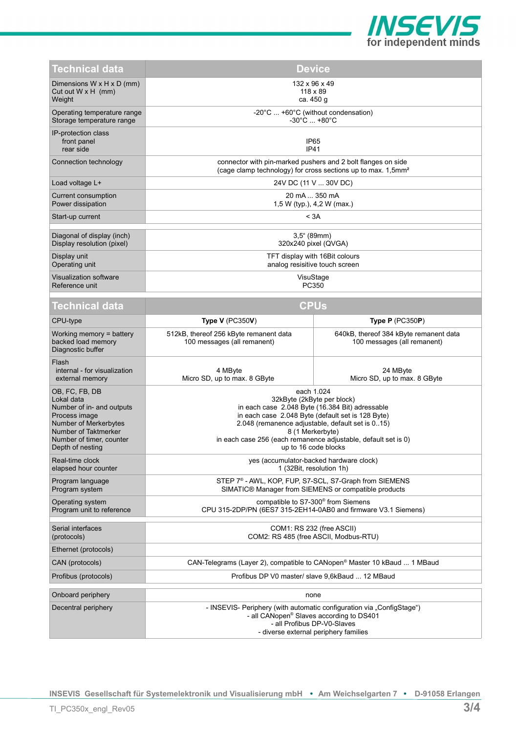![](_page_2_Picture_0.jpeg)

| Technical data                                                                                                                                                              | <b>Device</b>                                                                                                                                                                                                                                                                                                      |                                                                       |  |  |
|-----------------------------------------------------------------------------------------------------------------------------------------------------------------------------|--------------------------------------------------------------------------------------------------------------------------------------------------------------------------------------------------------------------------------------------------------------------------------------------------------------------|-----------------------------------------------------------------------|--|--|
| Dimensions W x H x D (mm)<br>Cut out $W \times H$ (mm)<br>Weight                                                                                                            | 132 x 96 x 49<br>$118 \times 89$<br>ca. 450 g                                                                                                                                                                                                                                                                      |                                                                       |  |  |
| Operating temperature range<br>Storage temperature range                                                                                                                    | -20°C  +60°C (without condensation)<br>$-30^{\circ}$ C $+80^{\circ}$ C                                                                                                                                                                                                                                             |                                                                       |  |  |
| IP-protection class<br>front panel<br>rear side                                                                                                                             | IP <sub>65</sub><br>IP41                                                                                                                                                                                                                                                                                           |                                                                       |  |  |
| Connection technology                                                                                                                                                       | connector with pin-marked pushers and 2 bolt flanges on side<br>(cage clamp technology) for cross sections up to max. 1,5mm <sup>2</sup>                                                                                                                                                                           |                                                                       |  |  |
| Load voltage L+                                                                                                                                                             | 24V DC (11 V  30V DC)                                                                                                                                                                                                                                                                                              |                                                                       |  |  |
| Current consumption<br>Power dissipation                                                                                                                                    | 20 mA  350 mA<br>1,5 W (typ.), 4,2 W (max.)                                                                                                                                                                                                                                                                        |                                                                       |  |  |
| Start-up current                                                                                                                                                            | < 3A                                                                                                                                                                                                                                                                                                               |                                                                       |  |  |
| Diagonal of display (inch)<br>Display resolution (pixel)                                                                                                                    | $3.5^{\circ}$ (89mm)<br>320x240 pixel (QVGA)                                                                                                                                                                                                                                                                       |                                                                       |  |  |
| Display unit<br>Operating unit                                                                                                                                              | TFT display with 16Bit colours<br>analog resisitive touch screen                                                                                                                                                                                                                                                   |                                                                       |  |  |
| Visualization software<br>Reference unit                                                                                                                                    | VisuStage<br>PC350                                                                                                                                                                                                                                                                                                 |                                                                       |  |  |
| Technical data                                                                                                                                                              | <b>CPUs</b>                                                                                                                                                                                                                                                                                                        |                                                                       |  |  |
| CPU-type                                                                                                                                                                    | Type $V$ (PC350V)                                                                                                                                                                                                                                                                                                  | Type $P$ (PC350P)                                                     |  |  |
| Working memory $=$ battery<br>backed load memory<br>Diagnostic buffer                                                                                                       | 512kB, thereof 256 kByte remanent data<br>100 messages (all remanent)                                                                                                                                                                                                                                              | 640kB, thereof 384 kByte remanent data<br>100 messages (all remanent) |  |  |
| Flash<br>internal - for visualization<br>external memory                                                                                                                    | 4 MByte<br>Micro SD, up to max. 8 GByte                                                                                                                                                                                                                                                                            | 24 MByte<br>Micro SD, up to max. 8 GByte                              |  |  |
| OB, FC, FB, DB<br>Lokal data<br>Number of in- and outputs<br>Process image<br>Number of Merkerbytes<br>Number of Taktmerker<br>Number of timer, counter<br>Depth of nesting | each 1.024<br>32kByte (2kByte per block)<br>in each case 2.048 Byte (16.384 Bit) adressable<br>in each case 2.048 Byte (default set is 128 Byte)<br>2.048 (remanence adjustable, default set is 015)<br>8 (1 Merkerbyte)<br>in each case 256 (each remanence adjustable, default set is 0)<br>up to 16 code blocks |                                                                       |  |  |
| Real-time clock<br>elapsed hour counter                                                                                                                                     | yes (accumulator-backed hardware clock)<br>1 (32Bit, resolution 1h)                                                                                                                                                                                                                                                |                                                                       |  |  |
| Program language<br>Program system                                                                                                                                          | STEP 7 <sup>®</sup> - AWL, KOP, FUP, S7-SCL, S7-Graph from SIEMENS<br>SIMATIC® Manager from SIEMENS or compatible products                                                                                                                                                                                         |                                                                       |  |  |
| Operating system<br>Program unit to reference                                                                                                                               | compatible to S7-300 <sup>®</sup> from Siemens<br>CPU 315-2DP/PN (6ES7 315-2EH14-0AB0 and firmware V3.1 Siemens)                                                                                                                                                                                                   |                                                                       |  |  |
| Serial interfaces<br>(protocols)                                                                                                                                            | COM1: RS 232 (free ASCII)<br>COM2: RS 485 (free ASCII, Modbus-RTU)                                                                                                                                                                                                                                                 |                                                                       |  |  |
| Ethernet (protocols)                                                                                                                                                        |                                                                                                                                                                                                                                                                                                                    |                                                                       |  |  |
| CAN (protocols)                                                                                                                                                             | CAN-Telegrams (Layer 2), compatible to CANopen <sup>®</sup> Master 10 kBaud  1 MBaud                                                                                                                                                                                                                               |                                                                       |  |  |
| Profibus (protocols)                                                                                                                                                        | Profibus DP V0 master/ slave 9,6kBaud  12 MBaud                                                                                                                                                                                                                                                                    |                                                                       |  |  |
| Onboard periphery                                                                                                                                                           | none                                                                                                                                                                                                                                                                                                               |                                                                       |  |  |
| Decentral periphery                                                                                                                                                         | - INSEVIS- Periphery (with automatic configuration via "ConfigStage")<br>- all CANopen <sup>®</sup> Slaves according to DS401<br>- all Profibus DP-V0-Slaves<br>- diverse external periphery families                                                                                                              |                                                                       |  |  |

**INSEVIS Gesellschaft für Systemelektronik und Visualisierung mbH • Am Weichselgarten 7 • D-91058 Erlangen**